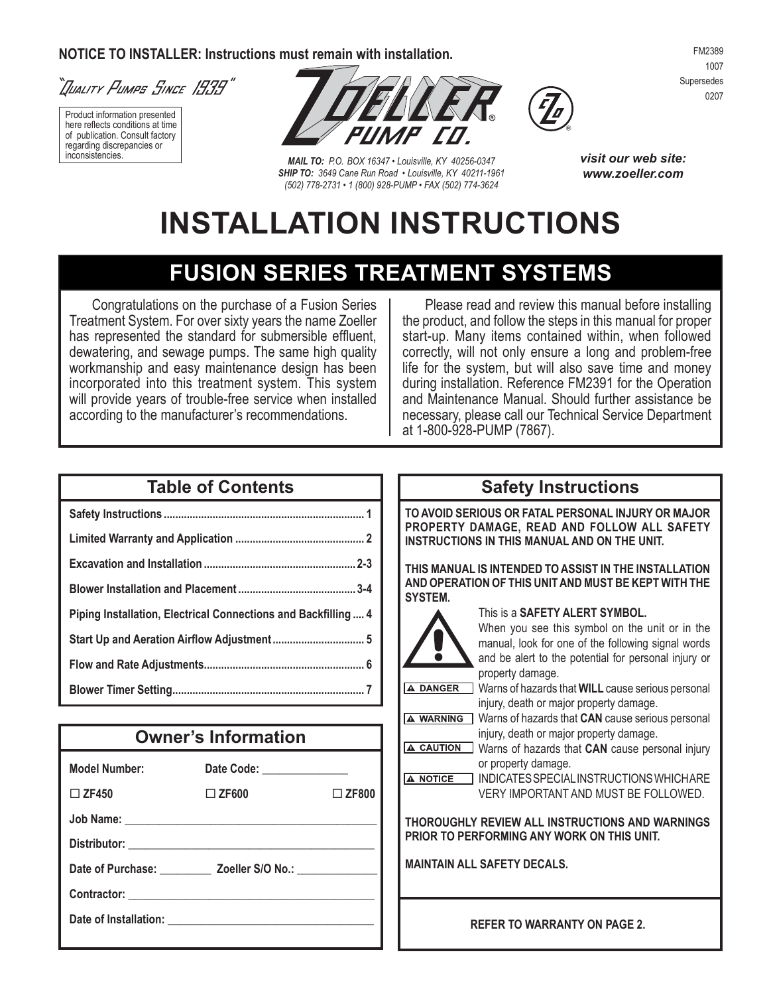#### **Notice to installer: Instructions must remain with installation.**



Product information presented here reflects conditions at time of publication. Consult factory regarding discrepancies or



**MAIL TO:** P.O. BOX 16347 • Louisville, KY 40256-0347 *SHIP TO: 3649 Cane Run Road • Louisville, KY 40211-1961 (502) 778-2731 • 1 (800) 928-PUMP • FAX (502) 774-3624*



*visit our web site: www.zoeller.com*

# **INSTALLATION INSTRUCTIONS**

## **FUSION SERIES TREATMENT SYSTEMS**

Congratulations on the purchase of a Fusion Series Treatment System. For over sixty years the name Zoeller has represented the standard for submersible effluent, dewatering, and sewage pumps. The same high quality workmanship and easy maintenance design has been incorporated into this treatment system. This system will provide years of trouble-free service when installed according to the manufacturer's recommendations.

Please read and review this manual before installing the product, and follow the steps in this manual for proper start-up. Many items contained within, when followed correctly, will not only ensure a long and problem-free life for the system, but will also save time and money during installation. Reference FM2391 for the Operation and Maintenance Manual. Should further assistance be necessary, please call our Technical Service Department at 1-800-928-PUMP (7867).

#### **Table of Contents**

| Piping Installation, Electrical Connections and Backfilling  4 |
|----------------------------------------------------------------|
|                                                                |
|                                                                |
|                                                                |

## **Owner's Information**

| Model Number:                                                     | Date Code: ______________ |              |  |  |
|-------------------------------------------------------------------|---------------------------|--------------|--|--|
| $\Box$ ZF450                                                      | $\square$ ZF600           | $\Box$ ZF800 |  |  |
|                                                                   |                           |              |  |  |
|                                                                   |                           |              |  |  |
| Date of Purchase: _____________ Zoeller S/O No.: ________________ |                           |              |  |  |
|                                                                   |                           |              |  |  |
|                                                                   |                           |              |  |  |

## **Safety Instructions**

**to avoid serious or fatal personal injury or major property damage, read and follow all safety instructions in THIS manual and on THE UNIT.**

**This manual is intended to assist in the installation and operation of this unit and must be kept with the SYSTEM.**



#### This is a **SAFETY ALERT SYMBOL.**

When you see this symbol on the unit or in the manual, look for one of the following signal words and be alert to the potential for personal injury or property damage.

A DANGER Warns of hazards that **WILL** cause serious personal injury, death or major property damage.

- **A WARNING** Warns of hazards that **CAN** cause serious personal injury, death or major property damage.
- A CAUTION Warns of hazards that **CAN** cause personal injury or property damage.

INDICATES SPECIAL INSTRUCTIONS WHICH ARE A NOTICE VERY IMPORTANT AND MUST BE FOLLOWED.

**thoroughly review all instructions and warnings prior to performing any work on this unit.**

**maintain all safety decals.**

**REFER TO WARRANTY ON PAGE 2.**

FM2389 1007 Supersedes 0207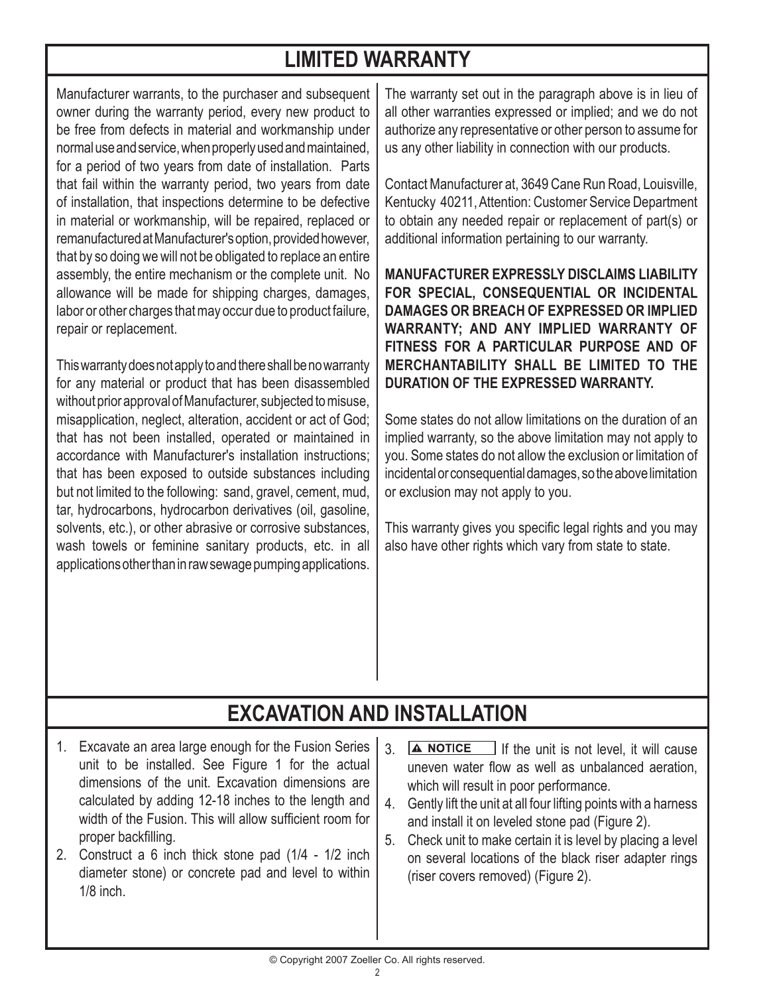## **LIMITED WARRANTY**

Manufacturer warrants, to the purchaser and subsequent owner during the warranty period, every new product to be free from defects in material and workmanship under normal use and service, when properly used and maintained, for a period of two years from date of installation. Parts that fail within the warranty period, two years from date of installation, that inspections determine to be defective in material or workmanship, will be repaired, replaced or remanufactured at Manufacturer's option, provided however, that by so doing we will not be obligated to replace an entire assembly, the entire mechanism or the complete unit. No allowance will be made for shipping charges, damages, labor or other charges that may occur due to product failure, repair or replacement.

This warranty does not apply to and there shall be no warranty for any material or product that has been disassembled without prior approval of Manufacturer, subjected to misuse, misapplication, neglect, alteration, accident or act of God; that has not been installed, operated or maintained in accordance with Manufacturer's installation instructions; that has been exposed to outside substances including but not limited to the following: sand, gravel, cement, mud, tar, hydrocarbons, hydrocarbon derivatives (oil, gasoline, solvents, etc.), or other abrasive or corrosive substances, wash towels or feminine sanitary products, etc. in all applications other than in raw sewage pumping applications.

The warranty set out in the paragraph above is in lieu of all other warranties expressed or implied; and we do not authorize any representative or other person to assume for us any other liability in connection with our products.

Contact Manufacturer at, 3649 Cane Run Road, Louisville, Kentucky 40211, Attention: Customer Service Department to obtain any needed repair or replacement of part(s) or additional information pertaining to our warranty.

**MANUFACTURER EXPRESSLY DISCLAIMS LIABILITY FOR SPECIAL, CONSEQUENTIAL OR INCIDENTAL DAMAGES OR BREACH OF EXPRESSED OR IMPLIED WARRANTY; AND ANY IMPLIED WARRANTY OF FITNESS FOR A PARTICULAR PURPOSE AND OF MERCHANTABILITY SHALL BE LIMITED TO THE DURATION OF THE EXPRESSED WARRANTY.**

Some states do not allow limitations on the duration of an implied warranty, so the above limitation may not apply to you. Some states do not allow the exclusion or limitation of incidental or consequential damages, so the above limitation or exclusion may not apply to you.

This warranty gives you specific legal rights and you may also have other rights which vary from state to state.

# **EXCAVATION AND INSTALLATION**

- Excavate an area large enough for the Fusion Series 1. unit to be installed. See Figure 1 for the actual dimensions of the unit. Excavation dimensions are calculated by adding 12-18 inches to the length and width of the Fusion. This will allow sufficient room for proper backfilling.
- Construct a 6 inch thick stone pad (1/4 1/2 inch 2. diameter stone) or concrete pad and level to within 1/8 inch.
- $3. \Delta$  NOTICE If the unit is not level, it will cause uneven water flow as well as unbalanced aeration, which will result in poor performance.
- Gently lift the unit at all four lifting points with a harness 4. and install it on leveled stone pad (Figure 2).
- 5. Check unit to make certain it is level by placing a level on several locations of the black riser adapter rings (riser covers removed) (Figure 2).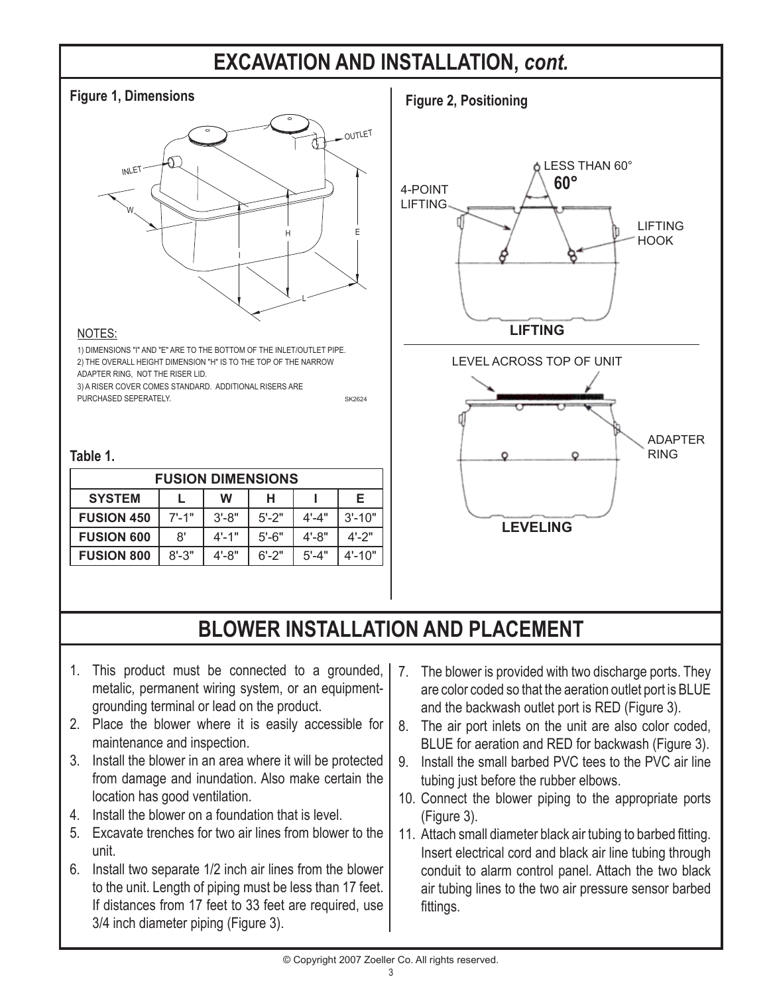## **EXCAVATION AND INSTALLATION,** *cont.*



#### NOTES:

1) DIMENSIONS "I" AND "E" ARE TO THE BOTTOM OF THE INLET/OUTLET PIPE. ADAPTER RING, NOT THE RISER LID. 2) THE OVERALL HEIGHT DIMENSION "H" IS TO THE TOP OF THE NARROW

3) A RISER COVER COMES STANDARD. ADDITIONAL RISERS ARE PURCHASED SEPERATELY.

#### **Table 1.**

| <b>FUSION DIMENSIONS</b> |            |            |           |           |            |
|--------------------------|------------|------------|-----------|-----------|------------|
| <b>SYSTEM</b>            |            | W          | н         |           | Е          |
| <b>FUSION 450</b>        | $7' - 1''$ | $3' - 8"$  | $5' - 2"$ | $4' - 4"$ | $3' - 10"$ |
| <b>FUSION 600</b>        | 8'         | $4' - 1''$ | $5'$ -6"  | $4' - 8"$ | $4' - 2"$  |
| <b>FUSION 800</b>        | $8' - 3"$  | $4' - 8"$  | $6' - 2"$ | $5' - 4"$ | $4' - 10"$ |



## **BLOWER INSTALLATION AND PLACEMENT**

SK2624

- 1. This product must be connected to a grounded, metalic, permanent wiring system, or an equipmentgrounding terminal or lead on the product.
- 2. Place the blower where it is easily accessible for maintenance and inspection.
- 3. Install the blower in an area where it will be protected from damage and inundation. Also make certain the location has good ventilation.
- 4. Install the blower on a foundation that is level.
- Excavate trenches for two air lines from blower to the . unit.
- 6. Install two separate 1/2 inch air lines from the blower to the unit. Length of piping must be less than 17 feet. If distances from 17 feet to 33 feet are required, use 3/4 inch diameter piping (Figure 3).
- 7. The blower is provided with two discharge ports. They are color coded so that the aeration outlet port is BLUE and the backwash outlet port is RED (Figure 3).
- The air port inlets on the unit are also color coded, 8. BLUE for aeration and RED for backwash (Figure 3).
- 9. Install the small barbed PVC tees to the PVC air line tubing just before the rubber elbows.
- 10. Connect the blower piping to the appropriate ports (Figure 3).
- 11. Attach small diameter black air tubing to barbed fitting. Insert electrical cord and black air line tubing through conduit to alarm control panel. Attach the two black air tubing lines to the two air pressure sensor barbed fittings.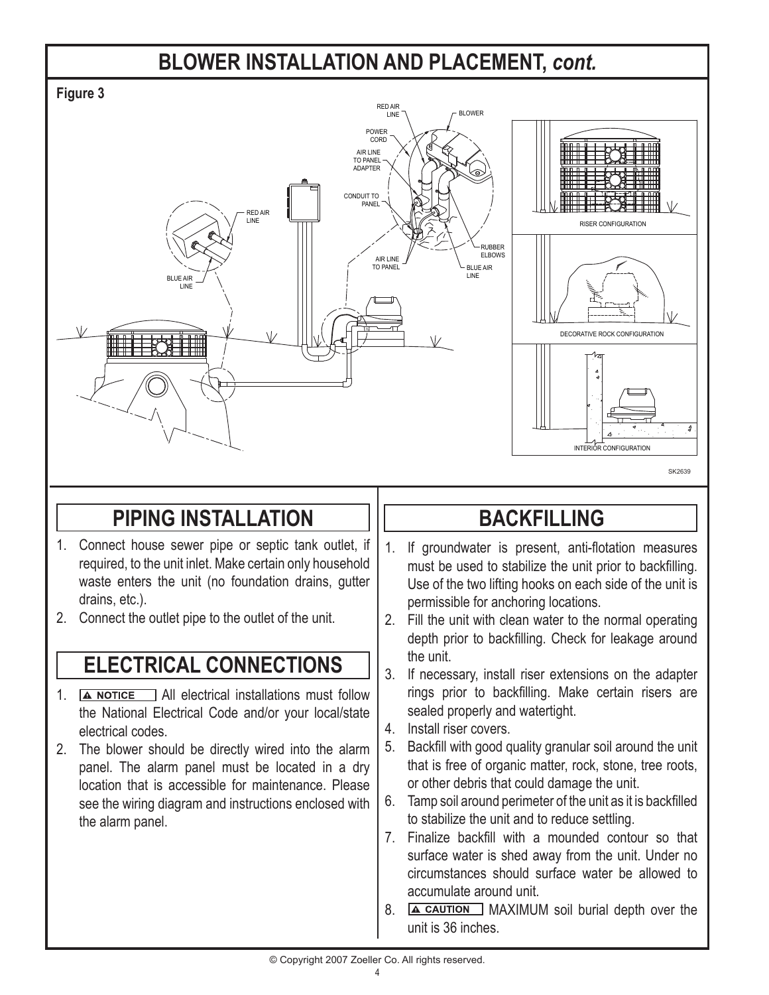## **BLOWER INSTALLATION AND PLACEMENT,** *cont.*



## **PIPING INSTALLATION**

- Connect house sewer pipe or septic tank outlet, if 1. required, to the unit inlet. Make certain only household waste enters the unit (no foundation drains, gutter drains, etc.).
- 2. Connect the outlet pipe to the outlet of the unit.

## **ELECTRICAL CONNECTIONS**

- 1. **A NOTICE** All electrical installations must follow the National Electrical Code and/or your local/state electrical codes.
- 2. The blower should be directly wired into the alarm panel. The alarm panel must be located in a dry location that is accessible for maintenance. Please see the wiring diagram and instructions enclosed with the alarm panel.

## **BACKFILLING**

- 1. If groundwater is present, anti-flotation measures must be used to stabilize the unit prior to backfilling. Use of the two lifting hooks on each side of the unit is permissible for anchoring locations.
- Fill the unit with clean water to the normal operating 2. depth prior to backfilling. Check for leakage around the unit.
- 3. If necessary, install riser extensions on the adapter rings prior to backfilling. Make certain risers are sealed properly and watertight.
- 4. Install riser covers.
- 5. Backfill with good quality granular soil around the unit that is free of organic matter, rock, stone, tree roots, or other debris that could damage the unit.
- Tamp soil around perimeter of the unit as it is backfilled 6. to stabilize the unit and to reduce settling.
- 7. Finalize backfill with a mounded contour so that surface water is shed away from the unit. Under no circumstances should surface water be allowed to accumulate around unit.
- 8. **A CAUTION** MAXIMUM soil burial depth over the unit is 36 inches.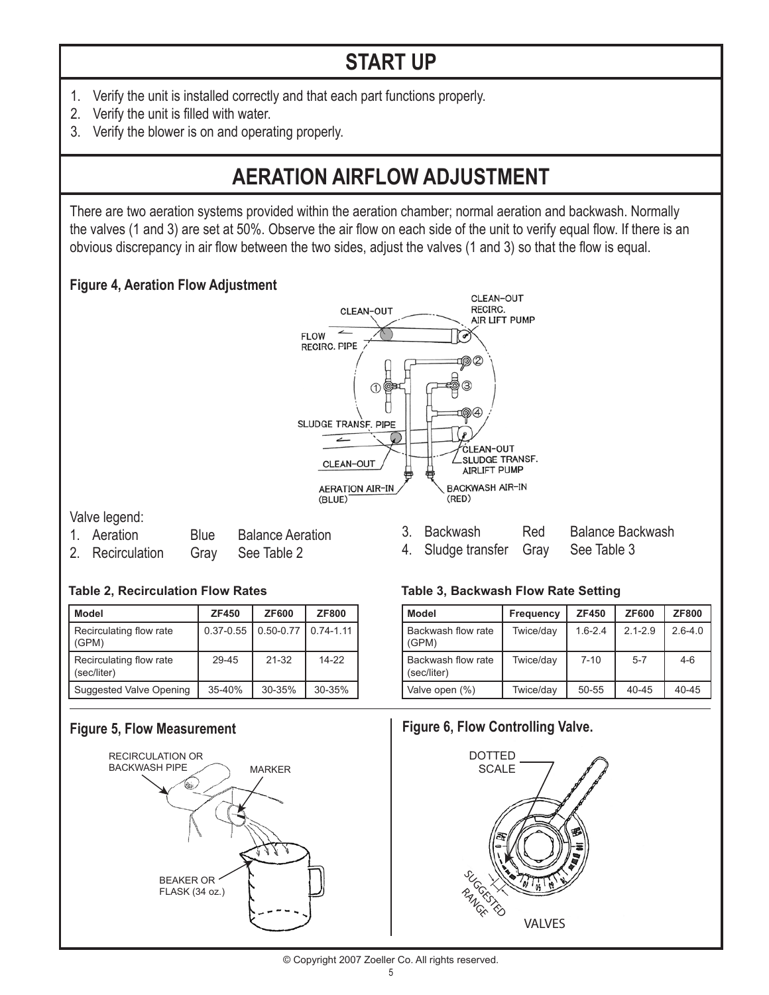# **START UP**

- Verify the unit is installed correctly and that each part functions properly. 1.
- 2. Verify the unit is filled with water.
- 3. Verify the blower is on and operating properly.

## **AERATION AIRFLOW ADJUSTMENT**

There are two aeration systems provided within the aeration chamber; normal aeration and backwash. Normally the valves (1 and 3) are set at 50%. Observe the air flow on each side of the unit to verify equal flow. If there is an obvious discrepancy in air flow between the two sides, adjust the valves (1 and 3) so that the flow is equal.

### **Figure 4, Aeration Flow Adjustment**



Valve legend:

- 1.
- 
- **Blue** Balance Aeration 2. Recirculation Gray See Table 2

#### Red Balance Backwash 4. Sludge transfer Gray See Table 3 3. Backwash

| <b>Model</b>                           | <b>ZF450</b>  | <b>ZF600</b>  | <b>ZF800</b>  |
|----------------------------------------|---------------|---------------|---------------|
| Recirculating flow rate<br>(GPM)       | $0.37 - 0.55$ | $0.50 - 0.77$ | $0.74 - 1.11$ |
| Recirculating flow rate<br>(sec/liter) | $29 - 45$     | $21 - 32$     | $14-22$       |
| Suggested Valve Opening                | $35 - 40%$    | $30 - 35%$    | 30-35%        |

#### **Figure 5, Flow Measurement**



#### **Table 2, Recirculation Flow Rates Table 3, Backwash Flow Rate Setting**

| <b>Model</b>                      | <b>Frequency</b> | <b>ZF450</b> | <b>ZF600</b> | <b>ZF800</b> |
|-----------------------------------|------------------|--------------|--------------|--------------|
| Backwash flow rate<br>(GPM)       | Twice/day        | $1.6 - 2.4$  | $2.1 - 2.9$  | $2.6 - 4.0$  |
| Backwash flow rate<br>(sec/liter) | Twice/day        | $7 - 10$     | $5 - 7$      | $4-6$        |
| Valve open (%)                    | Twice/day        | 50-55        | $40 - 45$    | $40 - 45$    |

#### **Figure 6, Flow Controlling Valve.**



© Copyright 2007 Zoeller Co. All rights reserved.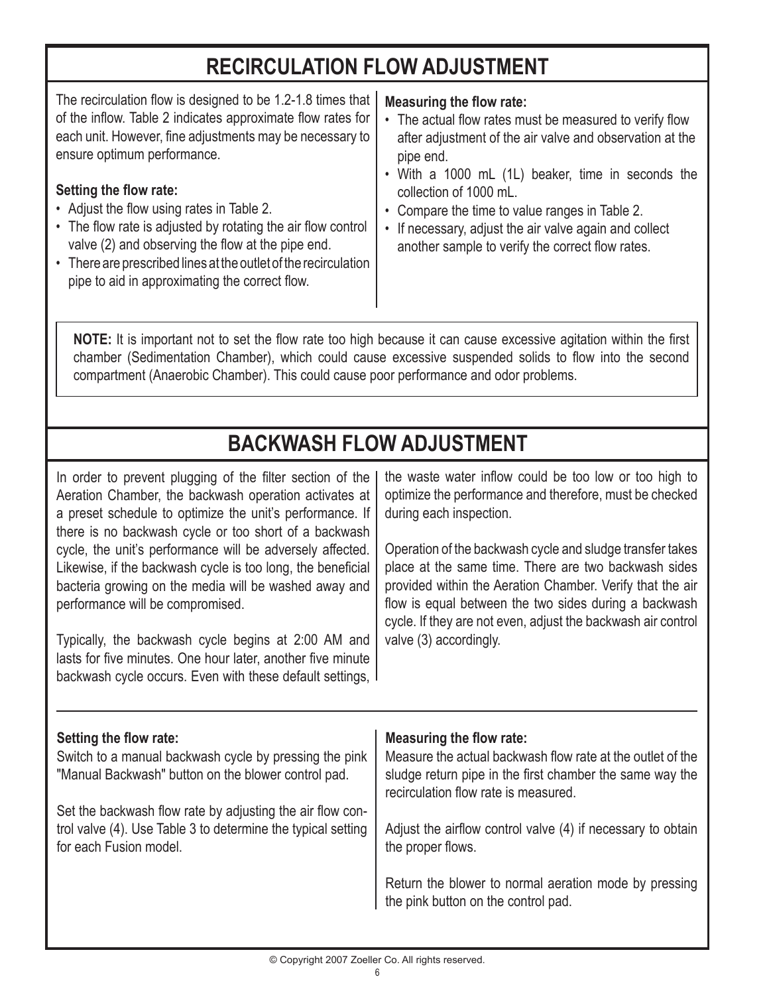## **RECIRCULATION FLOW ADJUSTMENT**

The recirculation flow is designed to be 1.2-1.8 times that of the inflow. Table 2 indicates approximate flow rates for each unit. However, fine adjustments may be necessary to ensure optimum performance.

#### **Setting the flow rate:**

- Adiust the flow using rates in Table 2.
- The flow rate is adjusted by rotating the air flow control valve (2) and observing the flow at the pipe end.
- There are prescribed lines at the outlet of the recirculation pipe to aid in approximating the correct flow.

#### **Measuring the flow rate:**

- The actual flow rates must be measured to verify flow after adjustment of the air valve and observation at the pipe end.
- With a 1000 mL (1L) beaker, time in seconds the collection of 1000 mL.
- Compare the time to value ranges in Table 2.
- If necessary, adjust the air valve again and collect another sample to verify the correct flow rates.

**NOTE:** It is important not to set the flow rate too high because it can cause excessive agitation within the first chamber (Sedimentation Chamber), which could cause excessive suspended solids to flow into the second compartment (Anaerobic Chamber). This could cause poor performance and odor problems.

## **BACKWASH FLOW ADJUSTMENT**

In order to prevent plugging of the filter section of the Aeration Chamber, the backwash operation activates at a preset schedule to optimize the unit's performance. If there is no backwash cycle or too short of a backwash cycle, the unit's performance will be adversely affected. Likewise, if the backwash cycle is too long, the beneficial bacteria growing on the media will be washed away and performance will be compromised.

Typically, the backwash cycle begins at 2:00 AM and lasts for five minutes. One hour later, another five minute backwash cycle occurs. Even with these default settings, the waste water inflow could be too low or too high to optimize the performance and therefore, must be checked during each inspection.

Operation of the backwash cycle and sludge transfer takes place at the same time. There are two backwash sides provided within the Aeration Chamber. Verify that the air flow is equal between the two sides during a backwash cycle. If they are not even, adjust the backwash air control valve (3) accordingly.

#### **Setting the flow rate:**

Switch to a manual backwash cycle by pressing the pink "Manual Backwash" button on the blower control pad.

Set the backwash flow rate by adjusting the air flow control valve (4). Use Table 3 to determine the typical setting for each Fusion model.

### **Measuring the flow rate:**

Measure the actual backwash flow rate at the outlet of the sludge return pipe in the first chamber the same way the recirculation flow rate is measured.

Adjust the airflow control valve (4) if necessary to obtain the proper flows.

Return the blower to normal aeration mode by pressing the pink button on the control pad.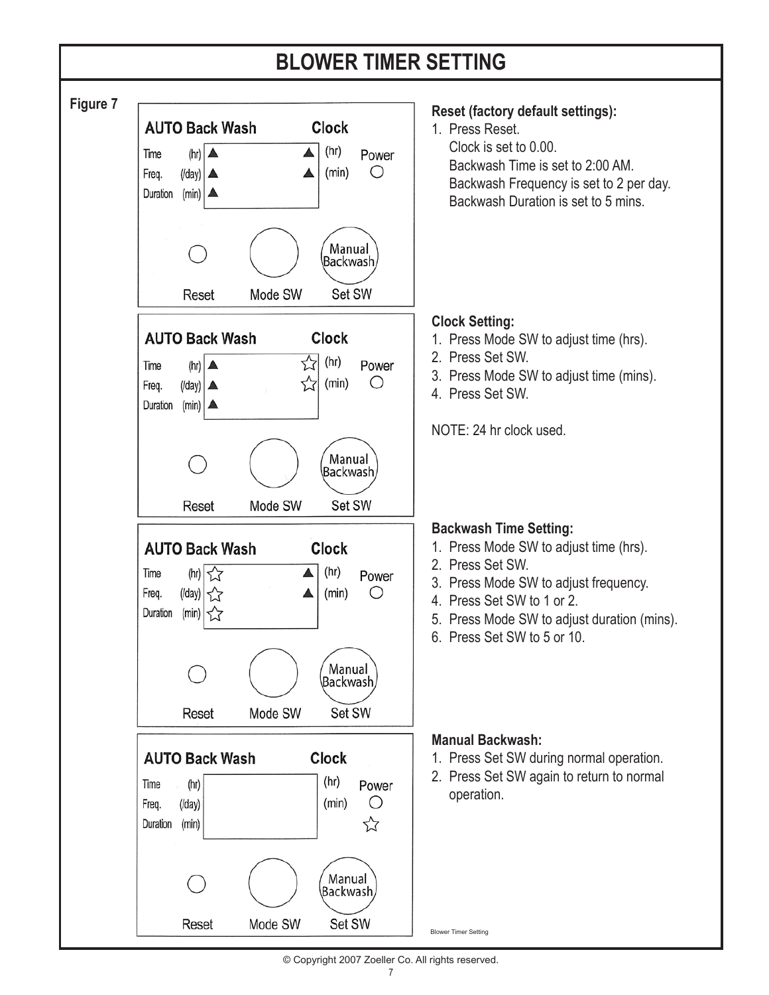## **BLOWER TIMER SETTING**



© Copyright 2007 Zoeller Co. All rights reserved.